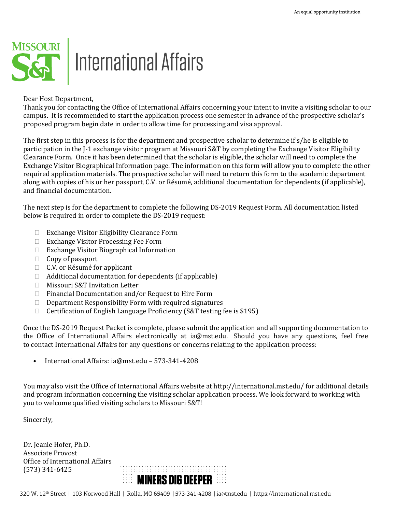

Dear Host Department,

Thank you for contacting the Office of International Affairs concerning your intent to invite a visiting scholar to our campus. It is recommended to start the application process one semester in advance of the prospective scholar's proposed program begin date in order to allow time for processing and visa approval.

The first step in this process is for the department and prospective scholar to determine if s/he is eligible to participation in the J-1 exchange visitor program at Missouri S&T by completing the Exchange Visitor Eligibility Clearance Form. Once it has been determined that the scholar is eligible, the scholar will need to complete the Exchange Visitor Biographical Information page. The information on this form will allow you to complete the other required application materials. The prospective scholar will need to return this form to the academic department along with copies of his or her passport, C.V. or Résumé, additional documentation for dependents (if applicable), and financial documentation.

The next step is for the department to complete the following DS-2019 Request Form. All documentation listed below is required in order to complete the DS-2019 request:

- □ Exchange Visitor Eligibility Clearance Form
- □ Exchange Visitor Processing Fee Form
- Exchange Visitor Biographical Information
- $\Box$  Copy of passport
- □ C.V. or Résumé for applicant
- $\Box$  Additional documentation for dependents (if applicable)
- □ Missouri S&T Invitation Letter
- □ Financial Documentation and/or Request to Hire Form
- $\Box$  Department Responsibility Form with required signatures  $\Box$  Certification of English Language Proficiency (S&T testing f
- Certification of English Language Proficiency (S&T testing fee is \$195)

Once the DS-2019 Request Packet is complete, please submit the application and all supporting documentation to the Office of International Affairs electronically at ia@mst.edu. Should you have any questions, feel free to contact International Affairs for any questions or concerns relating to the application process:

• International Affairs: ia@mst.edu – 573-341-4208

You may also visit the Office of International Affairs website at http://international.mst.edu/ for additional details and program information concerning the visiting scholar application process. We look forward to working with you to welcome qualified visiting scholars to Missouri S&T!

Sincerely,

Dr. Jeanie Hofer, Ph.D. Associate Provost Office of International Affairs (573) 341-6425

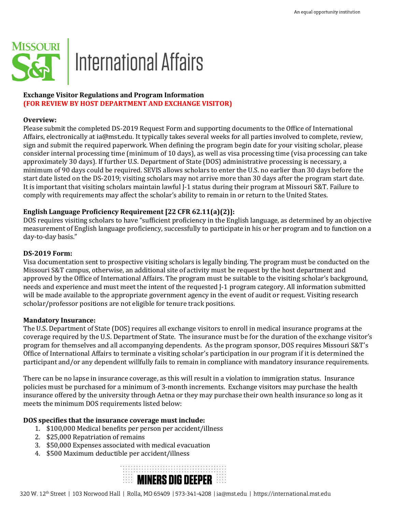

# **Exchange Visitor Regulations and Program Information (FOR REVIEW BY HOST DEPARTMENT AND EXCHANGE VISITOR)**

#### **Overview:**

Please submit the completed DS-2019 Request Form and supporting documents to the Office of International Affairs, electronically at ia@mst.edu. It typically takes several weeks for all parties involved to complete, review, sign and submit the required paperwork. When defining the program begin date for your visiting scholar, please consider internal processing time (minimum of 10 days), as well as visa processing time (visa processing can take approximately 30 days). If further U.S. Department of State (DOS) administrative processing is necessary, a minimum of 90 days could be required. SEVIS allows scholars to enter the U.S. no earlier than 30 days before the start date listed on the DS-2019; visiting scholars may not arrive more than 30 days after the program start date. It is important that visiting scholars maintain lawful J-1 status during their program at Missouri S&T. Failure to comply with requirements may affect the scholar's ability to remain in or return to the United States.

# **English Language Proficiency Requirement [22 CFR 62.11(a)(2)]:**

DOS requires visiting scholars to have "sufficient proficiency in the English language, as determined by an objective measurement of English language proficiency, successfully to participate in his or her program and to function on a day-to-day basis."

#### **DS-2019 Form:**

Visa documentation sent to prospective visiting scholars is legally binding. The program must be conducted on the Missouri S&T campus, otherwise, an additional site of activity must be request by the host department and approved by the Office of International Affairs. The program must be suitable to the visiting scholar's background, needs and experience and must meet the intent of the requested J-1 program category. All information submitted will be made available to the appropriate government agency in the event of audit or request. Visiting research scholar/professor positions are not eligible for tenure track positions.

### **Mandatory Insurance:**

The U.S. Department of State (DOS) requires all exchange visitors to enroll in medical insurance programs at the coverage required by the U.S. Department of State. The insurance must be for the duration of the exchange visitor's program for themselves and all accompanying dependents. As the program sponsor, DOS requires Missouri S&T's Office of International Affairs to terminate a visiting scholar's participation in our program if it is determined the participant and/or any dependent willfully fails to remain in compliance with mandatory insurance requirements.

There can be no lapse in insurance coverage, as this will result in a violation to immigration status. Insurance policies must be purchased for a minimum of 3-month increments. Exchange visitors may purchase the health insurance offered by the university through Aetna or they may purchase their own health insurance so long as it meets the minimum DOS requirements listed below:

### **DOS specifies that the insurance coverage must include:**

- 1. \$100,000 Medical benefits per person per accident/illness
- 2. \$25,000 Repatriation of remains
- 3. \$50,000 Expenses associated with medical evacuation
- 4. \$500 Maximum deductible per accident/illness

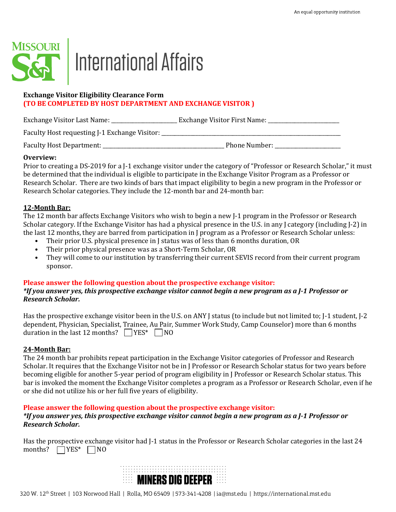

# **International Affairs**

# **Exchange Visitor Eligibility Clearance Form (TO BE COMPLETED BY HOST DEPARTMENT AND EXCHANGE VISITOR )**

| Exchange Visitor Last Name:                   | Exchange Visitor First Name: |
|-----------------------------------------------|------------------------------|
| Faculty Host requesting J-1 Exchange Visitor: |                              |
| Faculty Host Department:                      | Phone Number:                |

# **Overview:**

Prior to creating a DS-2019 for a J-1 exchange visitor under the category of "Professor or Research Scholar," it must be determined that the individual is eligible to participate in the Exchange Visitor Program as a Professor or Research Scholar. There are two kinds of bars that impact eligibility to begin a new program in the Professor or Research Scholar categories. They include the 12-month bar and 24-month bar:

# **12-Month Bar:**

The 12 month bar affects Exchange Visitors who wish to begin a new J-1 program in the Professor or Research Scholar category. If the Exchange Visitor has had a physical presence in the U.S. in any J category (including J-2) in the last 12 months, they are barred from participation in J program as a Professor or Research Scholar unless:

- Their prior U.S. physical presence in J status was of less than 6 months duration, OR
- Their prior physical presence was as a Short-Term Scholar, OR<br>• They will come to our institution by transferring their current S
- They will come to our institution by transferring their current SEVIS record from their current program sponsor.

# **Please answer the following question about the prospective exchange visitor:**

# *\*If you answer yes, this prospective exchange visitor cannot begin a new program as a J-1 Professor or Research Scholar.*

Has the prospective exchange visitor been in the U.S. on ANY J status (to include but not limited to; J-1 student, J-2 dependent, Physician, Specialist, Trainee, Au Pair, Summer Work Study, Camp Counselor) more than 6 months duration in the last 12 months?  $\Box$  YES\*  $\Box$  NO

### **24-Month Bar:**

The 24 month bar prohibits repeat participation in the Exchange Visitor categories of Professor and Research Scholar. It requires that the Exchange Visitor not be in J Professor or Research Scholar status for two years before becoming eligible for another 5-year period of program eligibility in J Professor or Research Scholar status. This bar is invoked the moment the Exchange Visitor completes a program as a Professor or Research Scholar, even if he or she did not utilize his or her full five years of eligibility.

### **Please answer the following question about the prospective exchange visitor:**

# *\*If you answer yes, this prospective exchange visitor cannot begin a new program as a J-1 Professor or Research Scholar.*

Has the prospective exchange visitor had J-1 status in the Professor or Research Scholar categories in the last 24 months?  $\Box$  YES\*  $\Box$  NO

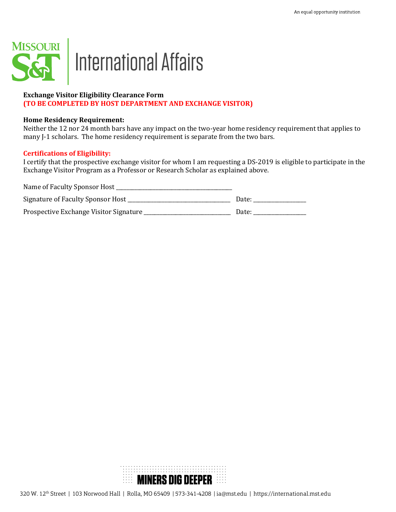

# **Exchange Visitor Eligibility Clearance Form (TO BE COMPLETED BY HOST DEPARTMENT AND EXCHANGE VISITOR)**

#### **Home Residency Requirement:**

Neither the 12 nor 24 month bars have any impact on the two-year home residency requirement that applies to many J-1 scholars. The home residency requirement is separate from the two bars.

# **Certifications of Eligibility:**

I certify that the prospective exchange visitor for whom I am requesting a DS-2019 is eligible to participate in the Exchange Visitor Program as a Professor or Research Scholar as explained above.

| Name of Faculty Sponsor Host           |       |
|----------------------------------------|-------|
| Signature of Faculty Sponsor Host      | Date: |
| Prospective Exchange Visitor Signature | Date: |

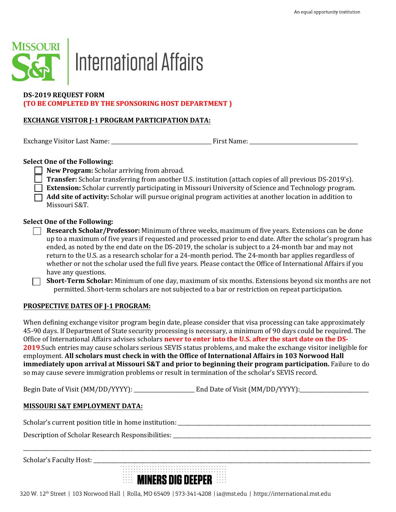

# | International Affairs

# **DS-2019 REQUEST FORM (TO BE COMPLETED BY THE SPONSORING HOST DEPARTMENT )**

# **EXCHANGE VISITOR J-1 PROGRAM PARTICIPATION DATA:**

Exchange Visitor Last Name: \_\_\_\_\_\_\_\_\_\_\_\_\_\_\_\_\_\_\_\_\_\_\_\_\_\_\_\_\_\_\_\_\_\_\_\_\_\_ First Name: \_\_\_\_\_\_\_\_\_\_\_\_\_\_\_\_\_\_\_\_\_\_\_\_\_\_\_\_\_\_\_\_\_\_\_\_\_\_\_\_\_

# **Select One of the Following:**

**New Program:** Scholar arriving from abroad.

- **Transfer:** Scholar transferring from another U.S. institution (attach copies of all previous DS-2019's).
- **Extension:** Scholar currently participating in Missouri University of Science and Technology program.
- **Add site of activity:** Scholar will pursue original program activities at another location in addition to Missouri S&T.

# **Select One of the Following:**

- **Research Scholar/Professor:** Minimum of three weeks, maximum of five years. Extensions can be done up to a maximum of five years if requested and processed prior to end date. After the scholar's program has ended, as noted by the end date on the DS-2019, the scholar is subject to a 24-month bar and may not return to the U.S. as a research scholar for a 24-month period. The 24-month bar applies regardless of whether or not the scholar used the full five years. Please contact the Office of International Affairs if you have any questions.
- **Short-Term Scholar:** Minimum of one day, maximum of six months. Extensions beyond six months are not permitted. Short-term scholars are not subjected to a bar or restriction on repeat participation.

# **PROSPECTIVE DATES OF J-1 PROGRAM:**

When defining exchange visitor program begin date, please consider that visa processing can take approximately 45-90 days. If Department of State security processing is necessary, a minimum of 90 days could be required. The Office of International Affairs advises scholars **never to enter into the U.S. after the start date on the DS-2019**.Such entries may cause scholars serious SEVIS status problems, and make the exchange visitor ineligible for employment. **All scholars must check in with the Office of International Affairs in 103 Norwood Hall immediately upon arrival at Missouri S&T and prior to beginning their program participation.** Failure to do so may cause severe immigration problems or result in termination of the scholar's SEVIS record.

\_\_\_\_\_\_\_\_\_\_\_\_\_\_\_\_\_\_\_\_\_\_\_\_\_\_\_\_\_\_\_\_\_\_\_\_\_\_\_\_\_\_\_\_\_\_\_\_\_\_\_\_\_\_\_\_\_\_\_\_\_\_\_\_\_\_\_\_\_\_\_\_\_\_\_\_\_\_\_\_\_\_\_\_\_\_\_\_\_\_\_\_\_\_\_\_\_\_\_\_\_\_\_\_\_\_\_\_\_\_\_\_\_\_\_\_\_\_\_\_\_\_\_\_\_\_\_\_\_\_\_\_

Begin Date of Visit (MM/DD/YYYY): \_\_\_\_\_\_\_\_\_\_\_\_\_\_\_\_\_\_\_\_\_\_\_ End Date of Visit (MM/DD/YYYY):\_\_\_\_\_\_\_\_\_\_\_\_\_\_\_\_\_\_\_\_\_\_\_\_\_\_

# **MISSOURI S&T EMPLOYMENT DATA:**

Scholar's current position title in home institution: \_\_\_\_\_\_\_\_\_\_\_\_\_\_\_\_\_\_\_\_\_\_\_\_\_\_\_\_\_\_\_\_\_\_\_\_\_\_\_\_\_\_\_\_\_\_\_\_\_\_\_\_\_\_\_\_\_\_\_\_\_\_\_\_\_\_\_\_\_\_\_\_\_

Description of Scholar Research Responsibilities: \_\_\_\_\_\_\_\_\_\_\_\_\_\_\_\_\_\_\_\_\_\_\_\_\_\_\_\_\_\_\_\_\_\_\_\_\_\_\_\_\_\_\_\_\_\_\_\_\_\_\_\_\_\_\_\_\_\_\_\_\_\_\_\_\_\_\_\_\_\_\_\_\_\_\_

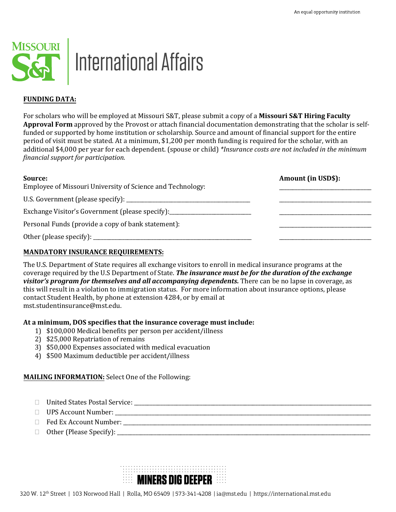

# | International Affairs

# **FUNDING DATA:**

For scholars who will be employed at Missouri S&T, please submit a copy of a **Missouri S&T Hiring Faculty Approval Form** approved by the Provost or attach financial documentation demonstrating that the scholar is selffunded or supported by home institution or scholarship. Source and amount of financial support for the entire period of visit must be stated. At a minimum, \$1,200 per month funding is required for the scholar, with an additional \$4,000 per year for each dependent. (spouse or child) *\*Insurance costs are not included in the minimum financial support for participation.* 

| Source:                                                    | <b>Amount (in USD\$):</b> |
|------------------------------------------------------------|---------------------------|
| Employee of Missouri University of Science and Technology: |                           |
|                                                            |                           |
| Exchange Visitor's Government (please specify):            |                           |
| Personal Funds (provide a copy of bank statement):         |                           |
|                                                            |                           |

# **MANDATORY INSURANCE REQUIREMENTS:**

The U.S. Department of State requires all exchange visitors to enroll in medical insurance programs at the coverage required by the U.S Department of State. *The insurance must be for the duration of the exchange visitor's program for themselves and all accompanying dependents.* There can be no lapse in coverage, as this will result in a violation to immigration status. For more information about insurance options, please contact Student Health, by phone at extension 4284, or by email at [mst.studentinsurance](mailto:iainsure@mst.edu)@mst.edu.

### **At a minimum, DOS specifies that the insurance coverage must include:**

- 1) \$100,000 Medical benefits per person per accident/illness
- 2) \$25,000 Repatriation of remains
- 3) \$50,000 Expenses associated with medical evacuation
- 4) \$500 Maximum deductible per accident/illness

# **MAILING INFORMATION:** Select One of the Following:

- United States Postal Service: \_\_\_\_\_\_\_\_\_\_\_\_\_\_\_\_\_\_\_\_\_\_\_\_\_\_\_\_\_\_\_\_\_\_\_\_\_\_\_\_\_\_\_\_\_\_\_\_\_\_\_\_\_\_\_\_\_\_\_\_\_\_\_\_\_\_\_\_\_\_\_\_\_\_\_\_\_\_\_\_\_\_\_\_\_\_\_\_\_\_
- UPS Account Number: \_\_\_\_\_\_\_\_\_\_\_\_\_\_\_\_\_\_\_\_\_\_\_\_\_\_\_\_\_\_\_\_\_\_\_\_\_\_\_\_\_\_\_\_\_\_\_\_\_\_\_\_\_\_\_\_\_\_\_\_\_\_\_\_\_\_\_\_\_\_\_\_\_\_\_\_\_\_\_\_\_\_\_\_\_\_\_\_\_\_\_\_\_\_\_\_\_
- Fed Ex Account Number: \_\_\_\_\_\_\_\_\_\_\_\_\_\_\_\_\_\_\_\_\_\_\_\_\_\_\_\_\_\_\_\_\_\_\_\_\_\_\_\_\_\_\_\_\_\_\_\_\_\_\_\_\_\_\_\_\_\_\_\_\_\_\_\_\_\_\_\_\_\_\_\_\_\_\_\_\_\_\_\_\_\_\_\_\_\_\_\_\_\_\_\_\_\_
- Other (Please Specify): \_\_\_\_\_\_\_\_\_\_\_\_\_\_\_\_\_\_\_\_\_\_\_\_\_\_\_\_\_\_\_\_\_\_\_\_\_\_\_\_\_\_\_\_\_\_\_\_\_\_\_\_\_\_\_\_\_\_\_\_\_\_\_\_\_\_\_\_\_\_\_\_\_\_\_\_\_\_\_\_\_\_\_\_\_\_\_\_\_\_\_\_\_\_\_\_

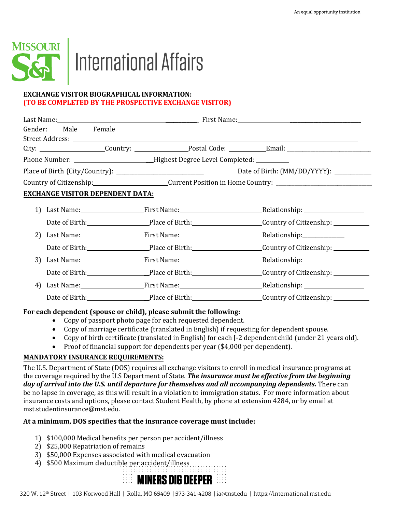

# | International Affairs

# **EXCHANGE VISITOR BIOGRAPHICAL INFORMATION: (TO BE COMPLETED BY THE PROSPECTIVE EXCHANGE VISITOR)**

|    | Gender: Male Female                                                              |                                         |                                                                                          |                                                                                   |
|----|----------------------------------------------------------------------------------|-----------------------------------------|------------------------------------------------------------------------------------------|-----------------------------------------------------------------------------------|
|    |                                                                                  |                                         |                                                                                          |                                                                                   |
|    |                                                                                  |                                         |                                                                                          |                                                                                   |
|    |                                                                                  |                                         | Phone Number: ________________________________Highest Degree Level Completed: __________ |                                                                                   |
|    |                                                                                  |                                         |                                                                                          | Date of Birth: (MM/DD/YYYY): ____________                                         |
|    | Country of Citizenship: Current Position in Home Country: ______________________ |                                         |                                                                                          |                                                                                   |
|    |                                                                                  | <b>EXCHANGE VISITOR DEPENDENT DATA:</b> |                                                                                          |                                                                                   |
| 1) |                                                                                  |                                         |                                                                                          |                                                                                   |
|    |                                                                                  |                                         |                                                                                          | Date of Birth: Place of Birth: Place of Birth: Country of Citizenship: 1990.      |
| 2) |                                                                                  |                                         | Last Name: First Name: First Name: Relationship: Relationship:                           |                                                                                   |
|    |                                                                                  |                                         |                                                                                          | Date of Birth: Place of Birth: Country of Citizenship: Country of Citizenship:    |
| 3) |                                                                                  |                                         |                                                                                          |                                                                                   |
|    |                                                                                  |                                         |                                                                                          | Date of Birth: Place of Birth: Country of Citizenship: __________________________ |
| 4) |                                                                                  |                                         |                                                                                          |                                                                                   |
|    |                                                                                  |                                         |                                                                                          | Date of Birth: Place of Birth: Country of Citizenship: Country of Citizenship:    |

# **For each dependent (spouse or child), please submit the following:**

- Copy of passport photo page for each requested dependent.
- Copy of marriage certificate (translated in English) if requesting for dependent spouse.
- Copy of birth certificate (translated in English) for each J-2 dependent child (under 21 years old).
- Proof of financial support for dependents per year (\$4,000 per dependent).

# **MANDATORY INSURANCE REQUIREMENTS:**

The U.S. Department of State (DOS) requires all exchange visitors to enroll in medical insurance programs at the coverage required by the U.S Department of State*. The insurance must be effective from the beginning day of arrival into the U.S. until departure for themselves and all accompanying dependents.* There can be no lapse in coverage, as this will result in a violation to immigration status. For more information about insurance costs and options, please contact Student Health, by phone at extension 4284, or by email at [mst.studentinsurance](mailto:iainsure@mst.edu)@mst.edu.

# **At a minimum, DOS specifies that the insurance coverage must include:**

- 1) \$100,000 Medical benefits per person per accident/illness
- 2) \$25,000 Repatriation of remains
- 3) \$50,000 Expenses associated with medical evacuation
- 4) \$500 Maximum deductible per accident/illness

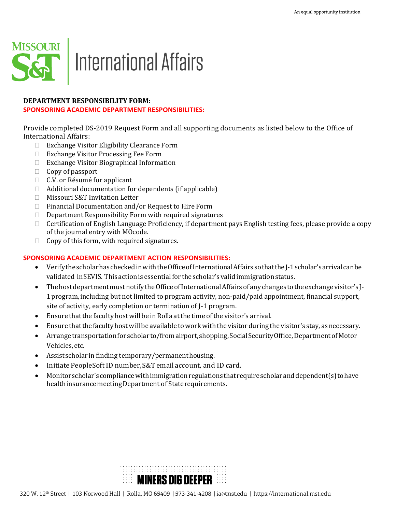

### **DEPARTMENT RESPONSIBILITY FORM:**

#### **SPONSORING ACADEMIC DEPARTMENT RESPONSIBILITIES:**

Provide completed DS-2019 Request Form and all supporting documents as listed below to the Office of International Affairs:

- Exchange Visitor Eligibility Clearance Form
- □ Exchange Visitor Processing Fee Form
- □ Exchange Visitor Biographical Information
- $\Box$  Copy of passport
- □ C.V. or Résumé for applicant
- $\Box$  Additional documentation for dependents (if applicable)
- □ Missouri S&T Invitation Letter
- $\Box$  Financial Documentation and/or Request to Hire Form
- $\Box$  Department Responsibility Form with required signatures
- □ Certification of English Language Proficiency, if department pays English testing fees, please provide a copy of the journal entry with MOcode.
- $\Box$  Copy of this form, with required signatures.

# **SPONSORING ACADEMIC DEPARTMENT ACTION RESPONSIBILITIES:**

- VerifythescholarhascheckedinwiththeOfficeofInternationalAffairssothatthe J-1 scholar's arrivalcanbe validated in SEVIS. This action is essential for the scholar's valid immigration status.
- The host department must notify the Office of International Affairs of any changes to the exchange visitor's J-1 program, including but not limited to program activity, non-paid/paid appointment, financial support, site of activity, early completion or termination of J-1 program.
- Ensure thatthe faculty hostwill be in Rolla atthe time ofthe visitor's arrival.
- Ensure thatthe facultyhostwill be available toworkwith the visitor during the visitor's stay, as necessary.
- Arrange transportation for scholar to/from airport, shopping, Social Security Office, Department of Motor Vehicles,etc.
- Assist scholar in finding temporary/permanenthousing.
- Initiate PeopleSoftID number, S&Temail account, and ID card.
- Monitor scholar's compliancewithimmigration regulations that require scholaranddependent(s)tohave health insurance meeting Department of State requirements.

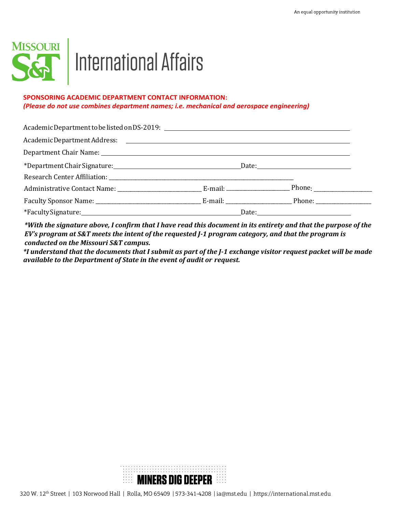

# MISSOURI<br>SGP International Affairs

# **SPONSORING ACADEMIC DEPARTMENT CONTACT INFORMATION:**  *(Please do not use combines department names; i.e. mechanical and aerospace engineering)*

|  | Date: 2008 2010 2021 2022 2023 2024 2022 2022 2023 2024 2022 2023 2024 2022 2023 2024 2022 2023 2024 2022 2023 |
|--|----------------------------------------------------------------------------------------------------------------|

*\*With the signature above, I confirm that I have read this document in its entirety and that the purpose of the EV's program at S&T meets the intent of the requested J-1 program category, and that the program is conducted on the Missouri S&T campus.*

*\*I understand that the documents that I submit as part of the J-1 exchange visitor request packet will be made available to the Department of State in the event of audit or request.*

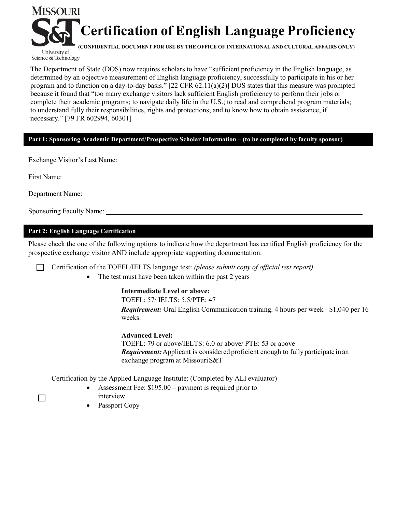

University of Science & Technology

The Department of State (DOS) now requires scholars to have "sufficient proficiency in the English language, as determined by an objective measurement of English language proficiency, successfully to participate in his or her program and to function on a day-to-day basis." [22 CFR 62.11(a)(2)] DOS states that this measure was prompted because it found that "too many exchange visitors lack sufficient English proficiency to perform their jobs or complete their academic programs; to navigate daily life in the U.S.; to read and comprehend program materials; to understand fully their responsibilities, rights and protections; and to know how to obtain assistance, if necessary." [79 FR 602994, 60301]

# **Part 1: Sponsoring Academic Department/Prospective Scholar Information – (to be completed by faculty sponsor)**

Exchange Visitor's Last Name:

First Name:

Department Name:

Sponsoring Faculty Name:

# **Part 2: English Language Certification**

Please check the one of the following options to indicate how the department has certified English proficiency for the prospective exchange visitor AND include appropriate supporting documentation:

Certification of the TOEFL/IELTS language test: *(please submit copy of official test report)* 

• The test must have been taken within the past 2 years

# **Intermediate Level or above:**

TOEFL: 57/ IELTS: 5.5/PTE: 47

*Requirement:* Oral English Communication training. 4 hours per week - \$1,040 per 16 weeks.

# **Advanced Level:**

TOEFL: 79 or above/IELTS: 6.0 or above/ PTE: 53 or above *Requirement:*Applicant is considered proficient enough to fully participate in an exchange program at MissouriS&T

Certification by the Applied Language Institute: (Completed by ALI evaluator)

- Assessment Fee: \$195.00 payment is required prior to interview
- Passport Copy
- ϒ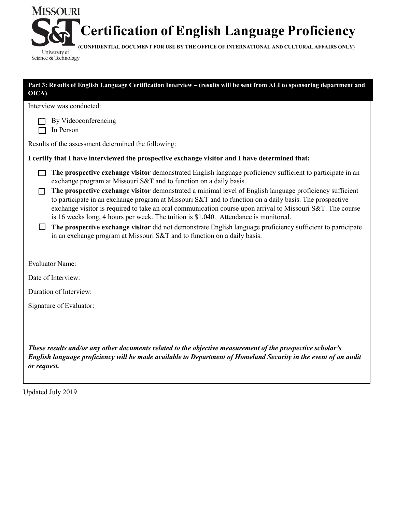

**(CONFIDENTIAL DOCUMENT FOR USE BY THE OFFICE OF INTERNATIONAL AND CULTURAL AFFAIRS ONLY)**

**By Videoconferencing**  $\Box$  In Person The prospective exchange visitor demonstrated English language proficiency sufficient to participate in an The prospective exchange visitor demonstrated a minimal level of English language proficiency sufficient Interview was conducted: Results of the assessment determined the following: **I certify that I have interviewed the prospective exchange visitor and I have determined that:** exchange program at Missouri S&T and to function on a daily basis. to participate in an exchange program at Missouri S&T and to function on a daily basis. The prospective exchange visitor is required to take an oral communication course upon arrival to Missouri S&T. The course is 16 weeks long, 4 hours per week. The tuition is \$1,040. Attendance is monitored. **The prospective exchange visitor** did not demonstrate English language proficiency sufficient to participate in an exchange program at Missouri S&T and to function on a daily basis. Evaluator Name: Date of Interview: Duration of Interview: Signature of Evaluator: *These results and/or any other documents related to the objective measurement of the prospective scholar's English language proficiency will be made available to Department of Homeland Security in the event of an audit or request.* **Part 3: Results of English Language Certification Interview – (results will be sent from ALI to sponsoring department and OICA)**

Updated July 2019

**MISSOURI** 

University of Science & Technology